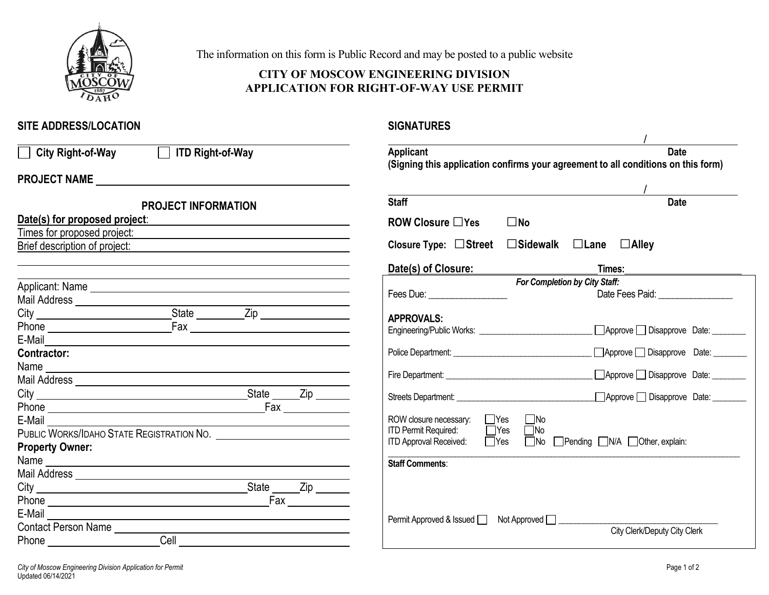

The information on this form is Public Record and may be posted to a public website

## **CITY OF MOSCOW ENGINEERING DIVISION APPLICATION FOR RIGHT-OF-WAY USE PERMIT**

## **SITE ADDRESS/LOCATION**

**SIGNATURES** 

| □ City Right-of-Way □ ITD Right-of-Way                                         | Applicant<br><b>Date</b>                                                                                                                                                                                                                                                                                                                                                                                                                                        |  |
|--------------------------------------------------------------------------------|-----------------------------------------------------------------------------------------------------------------------------------------------------------------------------------------------------------------------------------------------------------------------------------------------------------------------------------------------------------------------------------------------------------------------------------------------------------------|--|
|                                                                                | (Signing this application confirms your agreement to all conditions on this form)                                                                                                                                                                                                                                                                                                                                                                               |  |
|                                                                                |                                                                                                                                                                                                                                                                                                                                                                                                                                                                 |  |
| <b>PROJECT INFORMATION</b>                                                     | <b>Staff</b><br><b>Date</b>                                                                                                                                                                                                                                                                                                                                                                                                                                     |  |
| Date(s) for proposed project:                                                  | ROW Closure $\Box$ Yes<br>$\square$ No                                                                                                                                                                                                                                                                                                                                                                                                                          |  |
| Times for proposed project:                                                    |                                                                                                                                                                                                                                                                                                                                                                                                                                                                 |  |
| Brief description of project:<br><u> 1980 - Andrea Andrew Maria (h. 1980).</u> | Closure Type: □Street □Sidewalk □Lane □Alley                                                                                                                                                                                                                                                                                                                                                                                                                    |  |
|                                                                                | Date(s) of Closure:<br>Times:                                                                                                                                                                                                                                                                                                                                                                                                                                   |  |
|                                                                                | For Completion by City Staff:                                                                                                                                                                                                                                                                                                                                                                                                                                   |  |
|                                                                                | Fees Due: The Contract of the Contract of the Contract of the Contract of the Contract of the Contract of the Contract of the Contract of the Contract of the Contract of the Contract of the Contract of the Contract of the<br>Date Fees Paid: Note that the paintings of the paintings of the paintings of the paintings of the paintings of the paintings of the painting of the painting of the painting of the painting of the painting of the painting o |  |
|                                                                                | <b>APPROVALS:</b>                                                                                                                                                                                                                                                                                                                                                                                                                                               |  |
|                                                                                | △ Approve Disapprove Date: △                                                                                                                                                                                                                                                                                                                                                                                                                                    |  |
| E-Mail 2008                                                                    |                                                                                                                                                                                                                                                                                                                                                                                                                                                                 |  |
| <b>Contractor:</b>                                                             | Approve Disapprove Date: 1994<br>Police Department: <u>contained</u> and the contact of the contact of the contact of the contact of the contact of the contact of the contact of the contact of the contact of the contact of the contact of the contact of the con                                                                                                                                                                                            |  |
|                                                                                | △ Approve Disapprove Date: △<br>Fire Department: University of the University of the University of the University of the University of the University of the University of the University of the University of the University of the University of the Univers                                                                                                                                                                                                  |  |
|                                                                                |                                                                                                                                                                                                                                                                                                                                                                                                                                                                 |  |
|                                                                                | Approve Disapprove Date:                                                                                                                                                                                                                                                                                                                                                                                                                                        |  |
| E-Mail                                                                         | ROW closure necessary:<br>$\Box$ Yes $\Box$ No                                                                                                                                                                                                                                                                                                                                                                                                                  |  |
|                                                                                | <b>ITD Permit Required:</b><br>$\Box$ Yes<br>$\Box$ No                                                                                                                                                                                                                                                                                                                                                                                                          |  |
| <b>Property Owner:</b>                                                         | ITD Approval Received: Nes No Pending N/A Other, explain:                                                                                                                                                                                                                                                                                                                                                                                                       |  |
|                                                                                | <b>Staff Comments:</b>                                                                                                                                                                                                                                                                                                                                                                                                                                          |  |
|                                                                                |                                                                                                                                                                                                                                                                                                                                                                                                                                                                 |  |
|                                                                                |                                                                                                                                                                                                                                                                                                                                                                                                                                                                 |  |
|                                                                                |                                                                                                                                                                                                                                                                                                                                                                                                                                                                 |  |
| E-Mail                                                                         | Permit Approved & Issued □ Not Approved □ <u>__</u> ___________                                                                                                                                                                                                                                                                                                                                                                                                 |  |
|                                                                                | City Clerk/Deputy City Clerk                                                                                                                                                                                                                                                                                                                                                                                                                                    |  |
| Cell<br>Phone                                                                  |                                                                                                                                                                                                                                                                                                                                                                                                                                                                 |  |